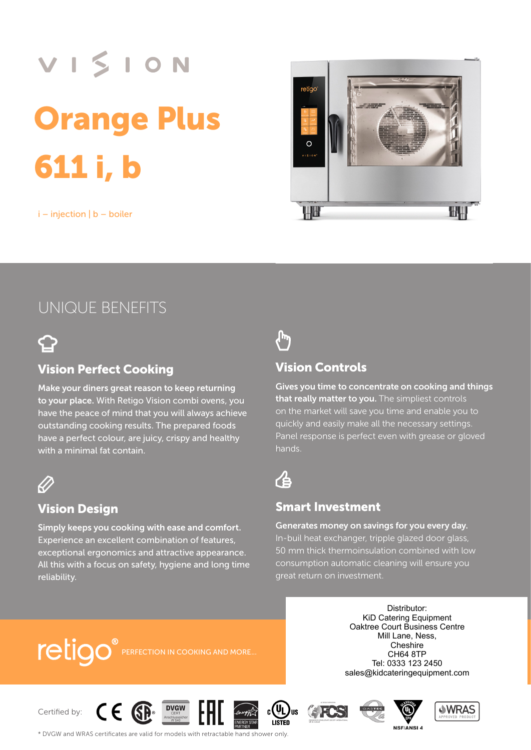

i – injection | b – boiler



### UNIQUE BENEFITS



#### Vision Perfect Cooking

Make your diners great reason to keep returning to your place. With Retigo Vision combi ovens, you have the peace of mind that you will always achieve outstanding cooking results. The prepared foods have a perfect colour, are juicy, crispy and healthy with a minimal fat contain.



#### Vision Design

Simply keeps you cooking with ease and comfort. Experience an excellent combination of features, exceptional ergonomics and attractive appearance. All this with a focus on safety, hygiene and long time reliability.



#### Vision Controls

Gives you time to concentrate on cooking and things that really matter to you. The simpliest controls on the market will save you time and enable you to quickly and easily make all the necessary settings. Panel response is perfect even with grease or gloved hands.

# $\triangle$

#### Smart Investment

Generates money on savings for you every day. In-buil heat exchanger, tripple glazed door glass, 50 mm thick thermoinsulation combined with low consumption automatic cleaning will ensure you great return on investment.



Distributor: KiD Catering Equipment Oaktree Court Business Centre Mill Lane, Ness, Cheshire CH64 8TP Tel: 0333 123 2450 sales@kidcateringequipment.com

Certified by:















\* DVGW and WRAS certificates are valid for models with retractable hand shower only.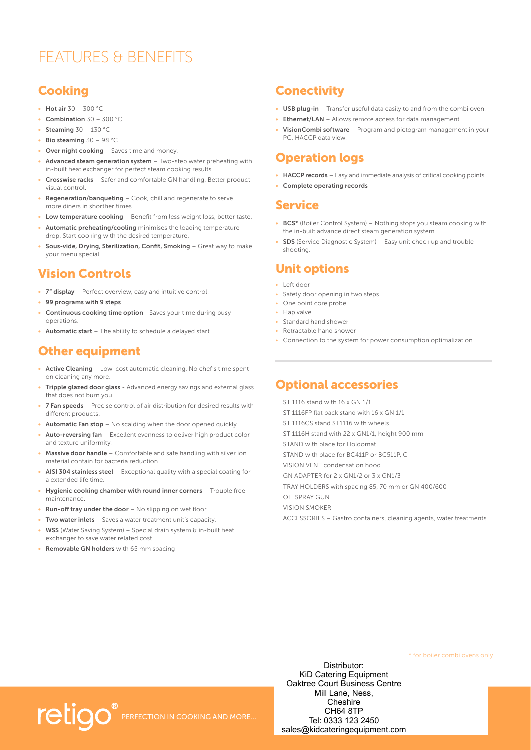## FEATURES & BENEFITS

#### **Cooking**

- Hot air 30 300 °C
- Combination 30 300 °C
- Steaming 30 130 °C
- Bio steaming 30 98 °C
- Over night cooking Saves time and money.
- Advanced steam generation system Two-step water preheating with in-built heat exchanger for perfect steam cooking results.
- Crosswise racks Safer and comfortable GN handling. Better product visual control.
- Regeneration/banqueting Cook, chill and regenerate to serve more diners in shorther times.
- Low temperature cooking Benefit from less weight loss, better taste.
- Automatic preheating/cooling minimises the loading temperature drop. Start cooking with the desired temperature.
- Sous-vide, Drying, Sterilization, Confit, Smoking Great way to make your menu special.

### Vision Controls

- 7" display Perfect overview, easy and intuitive control.
- 99 programs with 9 steps
- Continuous cooking time option Saves your time during busy operations.
- Automatic start The ability to schedule a delayed start.

### **Other equipment**

- Active Cleaning Low-cost automatic cleaning. No chef's time spent on cleaning any more.
- **Tripple glazed door glass** Advanced energy savings and external glass that does not burn you.
- 7 Fan speeds Precise control of air distribution for desired results with different products
- Automatic Fan stop No scalding when the door opened quickly.
- Auto-reversing fan Excellent evenness to deliver high product color and texture uniformity.
- Massive door handle Comfortable and safe handling with silver ion material contain for bacteria reduction.
- AISI 304 stainless steel Exceptional quality with a special coating for a extended life time.
- Hygienic cooking chamber with round inner corners Trouble free maintenance.
- Run-off tray under the door No slipping on wet floor.
- Two water inlets Saves a water treatment unit's capacity
- **WSS** (Water Saving System) Special drain system  $\theta$  in-built heat exchanger to save water related cost.
- Removable GN holders with 65 mm spacing

### **Conectivity**

- USB plug-in Transfer useful data easily to and from the combi oven.
- **Ethernet/LAN** Allows remote access for data management.
- VisionCombi software Program and pictogram management in your PC, HACCP data view.

#### Operation logs

- HACCP records Easy and immediate analysis of critical cooking points.
- Complete operating records

#### Service

- BCS\* (Boiler Control System) Nothing stops you steam cooking with the in-built advance direct steam generation system.
- SDS (Service Diagnostic System) Easy unit check up and trouble shooting.

### Unit options

- Left door
- Safety door opening in two steps
- One point core probe
- Flap valve
- Standard hand shower
- Retractable hand shower
- Connection to the system for power consumption optimalization

#### Optional accessories

ST 1116 stand with 16 x GN 1/1

- ST 1116FP flat pack stand with 16 x GN 1/1
- ST 1116CS stand ST1116 with wheels
- ST 1116H stand with 22 x GN1/1, height 900 mm
- STAND with place for Holdomat
- STAND with place for BC411P or BC511P, C
- VISION VENT condensation hood
- GN ADAPTER for 2 x GN1/2 or 3 x GN1/3
- TRAY HOLDERS with spacing 85, 70 mm or GN 400/600
- OIL SPRAY GUN
- VISION SMOKER
- ACCESSORIES Gastro containers, cleaning agents, water treatments

\* for boiler combi ovens only

Distributor: KiD Catering Equipment Oaktree Court Business Centre Mill Lane, Ness, **Cheshire** CH64 8TP Tel: 0333 123 2450 sales@kidcateringequipment.com

**TELIOO** PERFECTION IN COOKING AND MORE.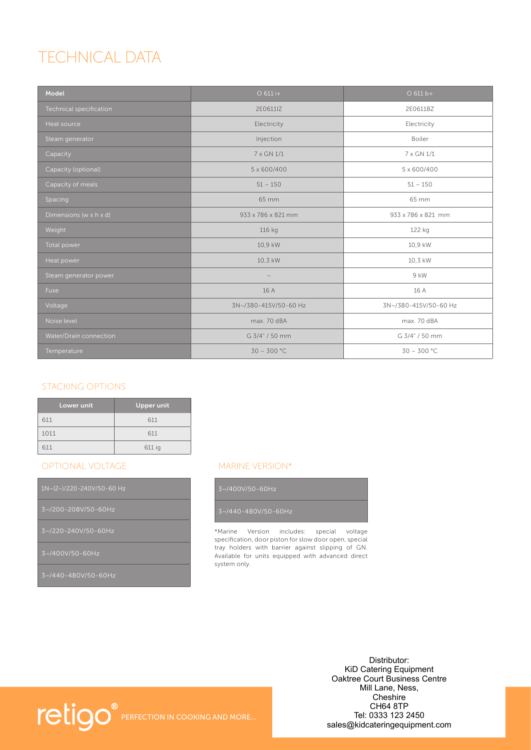## TECHNICAL DATA

| Model                   | $O 611 i+$            | $O$ 611 b+            |
|-------------------------|-----------------------|-----------------------|
| Technical specification | 2E0611IZ              | 2E0611BZ              |
| Heat source             | Electricity           | Electricity           |
| Steam generator         | Injection             | Boiler                |
| Capacity                | 7 x GN 1/1            | 7 x GN 1/1            |
| Capacity (optional)     | 5 x 600/400           | 5 x 600/400           |
| Capacity of meals       | $51 - 150$            | $51 - 150$            |
| Spacing                 | 65 mm                 | 65 mm                 |
| Dimensions (w x h x d)  | 933 x 786 x 821 mm    | 933 x 786 x 821 mm    |
| Weight                  | 116 kg                | 122 kg                |
| Total power             | 10,9 kW               | 10,9 kW               |
| Heat power              | 10,3 kW               | 10,3 kW               |
| Steam generator power   |                       | 9 kW                  |
| Fuse                    | 16 A                  | 16 A                  |
| Voltage                 | 3N~/380-415V/50-60 Hz | 3N~/380-415V/50-60 Hz |
| Noise level             | max. 70 dBA           | max. 70 dBA           |
| Water/Drain connection  | G 3/4" / 50 mm        | G 3/4" / 50 mm        |
| Temperature             | $30 - 300$ °C         | $30 - 300 °C$         |

#### STACKING OPTIONS

| Lower unit | Upper unit |
|------------|------------|
| 611        | 611        |
| 1011       | 611        |
| 611        | 611 ig     |

#### OPTIONAL VOLTAGE

3~/400V/50-60Hz

#### MARINE VERSION\*

\*Marine Version includes: special voltage specification, door piston for slow door open, special tray holders with barrier against slipping of GN. Available for units equipped with advanced direct system only.



Distributor: KiD Catering Equipment Oaktree Court Business Centre Mill Lane, Ness, Cheshire CH64 8TP Tel: 0333 123 2450 sales@kidcateringequipment.com